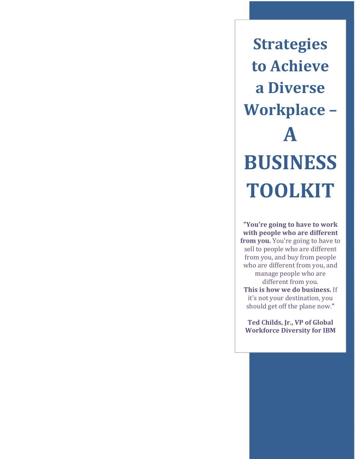**Strategies to Achieve a Diverse Workplace – A BUSINESS TOOLKIT**

**"You're going to have to work with people who are different from you.** You're going to have to sell to people who are different from you, and buy from people who are different from you, and manage people who are different from you. **This is how we do business.** If it's not your destination, you should get off the plane now."

**Ted Childs, Jr., VP of Global Workforce Diversity for IBM**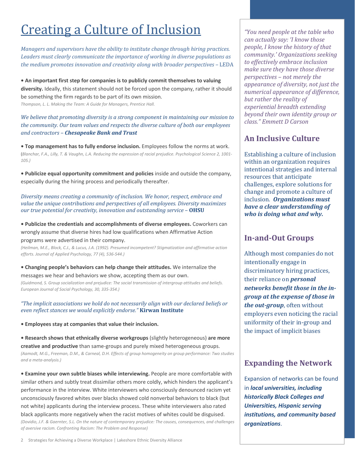## **Creating a Culture of Inclusion**

*Managers and supervisors have the ability to institute change through hiring practices. Leaders must clearly communicate the importance of working in diverse populations as the medium promotes innovation and creativity along with broader perspectives –* LEDA

**• An important first step for companies is to publicly commit themselves to valuing diversity.** Ideally, this statement should not be forced upon the company, rather it should be something the firm regards to be part of its own mission. *Thompson, L. L. Making the Team: A Guide for Managers, Prentice Hall.*

*We believe that promoting diversity is a strong component in maintaining our mission to the community. Our team values and respects the diverse culture of both our employees and contractors – Chesapeake Bank and Trust*

**• Top management has to fully endorse inclusion.** Employees follow the norms at work. (Blanchar, F.A., Lilly, T. & Vaughn, L.A. Reducing the expression of racial prejudice. Psychological Science 2, 1001-*105.)*

**• Publicize equal opportunity commitment and policies** inside and outside the company, especially during the hiring process and periodically thereafter.

*Diversity means creating a community of inclusion. We honor, respect, embrace and value the unique contributions and perspectives of all employees. Diversity maximizes our**true* **potential for creativity, innovation and outstanding service – <b>OHSU** 

**• Publicize the credentials and accomplishments of diverse employees.** Coworkers can wrongly assume that diverse hires had low qualifications when Affirmative Action

programs were advertised in their company.

*(Heilman, M.E., Block, C.J., & Lucus, J.A. (1992). Presumed incompetent? Stigmatization and affirmative action efforts. Journal of Applied Psychology, 77 (4), 536‐544.)*

**• Changing people's behaviors can help change their attitudes.** We internalize the messages we hear and behaviors we show, accepting them as our own. *(Guidmond, S. Group socialization and prejudice: The social transmission of intergroup attitudes and beliefs. European Journal of Social Psychology, 30, 335‐354.)*

*"The implicit associations we hold do not necessarily align with our declared beliefs or even reflect stances we would explicitly endorse."* **Kirwan Institute**

**• Employees stay at companies that value their inclusion.**

**• Research shows that ethnically diverse workgroups** (slightly heterogeneous) **are more creative and productive** than same‐groups and purely mixed heterogeneous groups. *(Aamodt, M.G., Freeman, D.M., & Carneal, D.H. Effects of group homogeneity on group performance: Two studies and a meta‐analysis.)*

**• Examine your own subtle biases while interviewing.** People are more comfortable with similar others and subtly treat dissimilar others more coldly, which hinders the applicant's performance in the interview. White interviewers who consciously denounced racism yet unconsciously favored whites over blacks showed cold nonverbal behaviors to black (but not white) applicants during the interview process. These white interviewers also rated black applicants more negatively when the racist motives of whites could be disguised. (Dovidio, J.F. & Gaernter, S.L. On the nature of contemporary prejudice: The causes, consequences, and challenges *of aversive racism. Confronting Racism: The Problem and Response)*

*"You need people at the table who can actually say: 'I know those people, I know the history of that community.' Organizations seeking to effectively embrace inclusion make sure they have those diverse perspectives – not merely the appearance of diversity, not just the numerical appearance of difference, but rather the reality of experiential breadth extending beyond their own identity group or class." Emmett D Carson*

#### **An Inclusive Culture**

Establishing a culture of inclusion within an organization requires intentional strategies and internal resources that anticipate challenges, explore solutions for change and promote a culture of inclusion*. Organizations must have a clear understanding of who is doing what and why.*

#### **In‐and‐Out Groups**

Although most companies do not intentionally engage in discriminatory hiring practices, their reliance on *personal networks benefit those in the in‐ group at the expense of those in the out‐group*, often without employers even noticing the racial uniformity of their in-group and the impact of implicit biases

#### **Expanding the Network**

Expansion of networks can be found in *local universities, including historically Black Colleges and Universities, Hispanic serving institutions, and community based organizations*.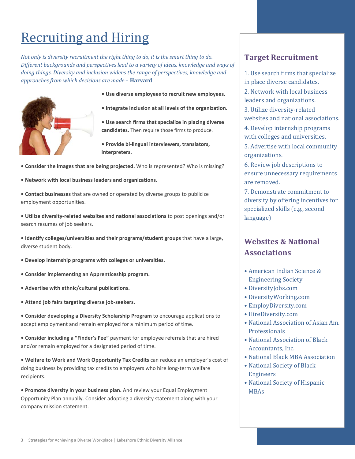# **Recruiting and Hiring**

*Not only is diversity recruitment the right thing to do, it is the smart thing to do. Different backgrounds and perspectives lead to a variety of ideas, knowledge and ways of doing things. Diversity and inclusion widens the range of perspectives, knowledge and approaches from which decisions are made* – **Harvard**



- **• Use diverse employees to recruit new employees.**
- **• Integrate inclusion at all levels of the organization.**

**• Use search firms that specialize in placing diverse candidates.** Then require those firms to produce.

**• Provide bi‐lingual interviewers, translators, interpreters.**

- **• Consider the images that are being projected.** Who is represented? Who is missing?
- **• Network with local business leaders and organizations.**
- **• Contact businesses** that are owned or operated by diverse groups to publicize employment opportunities.
- **• Utilize diversity‐related websites and national associations** to post openings and/or search resumes of job seekers.
- **• Identify colleges/universities and their programs/student groups** that have a large, diverse student body.
- **• Develop internship programs with colleges or universities.**
- **• Consider implementing an Apprenticeship program.**
- **• Advertise with ethnic/cultural publications.**
- **• Attend job fairs targeting diverse job‐seekers.**
- **• Consider developing a Diversity Scholarship Program** to encourage applications to accept employment and remain employed for a minimum period of time.
- **• Consider including a "Finder's Fee"** payment for employee referrals that are hired and/or remain employed for a designated period of time.
- **• Welfare to Work and Work Opportunity Tax Credits** can reduce an employer's cost of doing business by providing tax credits to employers who hire long‐term welfare recipients.
- **• Promote diversity in your business plan.** And review your Equal Employment Opportunity Plan annually. Consider adopting a diversity statement along with your company mission statement.

#### **Target Recruitment**

1. Use search firms that specialize in place diverse candidates. 2. Network with local business leaders and organizations.

3. Utilize diversity-related websites and national associations.

4. Develop internship programs with colleges and universities.

5. Advertise with local community organizations. 

6. Review job descriptions to ensure unnecessary requirements are removed.

7. Demonstrate commitment to diversity by offering incentives for specialized skills (e.g., second language) 

### **Websites & National Associations**

- American Indian Science & Engineering Society
- DiversityJobs.com
- • DiversityWorking.com
- • EmployDiversity.com
- • HireDiversity.com
- National Association of Asian Am. **Professionals**
- National Association of Black Accountants, Inc.
- National Black MBA Association
- National Society of Black Engineers
- National Society of Hispanic MBAs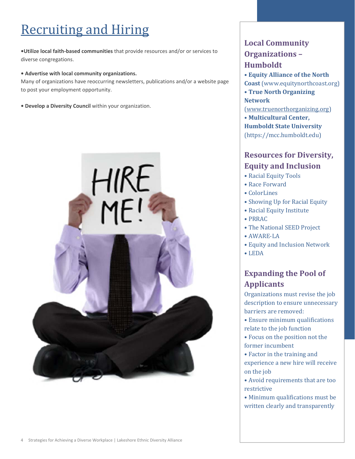# **Recruiting and Hiring**

**•Utilize local faith‐based communities** that provide resources and/or or services to diverse congregations.

#### **• Advertise with local community organizations.**

Many of organizations have reoccurring newsletters, publications and/or a website page to post your employment opportunity.

**• Develop a Diversity Council** within your organization.



### **Local Community Organizations – Humboldt**

• **Equity Alliance of the North**

- **Coast** (www.equitynorthcoast.org)
- • **True North Organizing Network**

(www.truenorthorganizing.org) 

• **Multicultural Center, Humboldt State University** (https://mcc.humboldt.edu) 

### **Resources for Diversity, Equity and Inclusion**

- Racial Equity Tools
- • Race Forward
- • ColorLines
- Showing Up for Racial Equity
- Racial Equity Institute
- • PRRAC
- The National SEED Project
- AWARE-LA
- Equity and Inclusion Network
- • LEDA

### **Expanding the Pool of Applicants**

Organizations must revise the job description to ensure unnecessary barriers are removed:

- Ensure minimum qualifications relate to the job function
- Focus on the position not the former incumbent
- Factor in the training and experience a new hire will receive on the job
- Avoid requirements that are too restrictive
- Minimum qualifications must be written clearly and transparently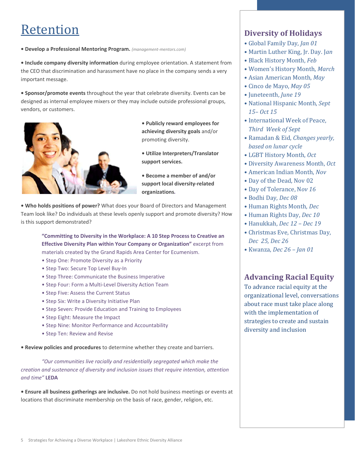### Retention

**• Develop a Professional Mentoring Program.** *(management‐mentors.com)*

**• Include company diversity information** during employee orientation. A statement from the CEO that discrimination and harassment have no place in the company sends a very important message.

**• Sponsor/promote events** throughout the year that celebrate diversity. Events can be designed as internal employee mixers or they may include outside professional groups, vendors, or customers.



- **• Publicly reward employees for achieving diversity goals** and/or promoting diversity.
- **• Utilize Interpreters/Translator support services.**
- **• Become a member of and/or support local diversity‐related organizations***.*

**• Who holds positions of power?** What does your Board of Directors and Management Team look like? Do individuals at these levels openly support and promote diversity? How is this support demonstrated?

**"Committing to Diversity in the Workplace: A 10 Step Process to Creative an Effective Diversity Plan within Your Company or Organization"** excerpt from materials created by the Grand Rapids Area Center for Ecumenism.

- Step One: Promote Diversity as a Priority
- Step Two: Secure Top Level Buy‐In
- Step Three: Communicate the Business Imperative
- Step Four: Form a Multi‐Level Diversity Action Team
- Step Five: Assess the Current Status
- Step Six: Write a Diversity Initiative Plan
- Step Seven: Provide Education and Training to Employees
- Step Eight: Measure the Impact
- Step Nine: Monitor Performance and Accountability
- Step Ten: Review and Revise

**• Review policies and procedures** to determine whether they create and barriers.

*"Our communities live racially and residentially segregated which make the creation and sustenance of diversity and inclusion issues that require intention, attention and time"* **LEDA**

**• Ensure all business gatherings are inclusive.** Do not hold business meetings or events at locations that discriminate membership on the basis of race, gender, religion, etc.

#### **Diversity of Holidays**

- • Global Family Day, *Jan 01*
- Martin Luther King, Jr. Day. Jan
- • Black History Month, *Feb*
- • Women's History Month, *March*
- • Asian American Month, *May*
- • Cinco de Mayo, *May 05*
- • Juneteenth, *June 19*
- National Hispanic Month, Sept  *15– Oct 15*
- International Week of Peace, *Third Week of Sept*
- • Ramadan & Eid, *Changes yearly, based on lunar cycle*
- • LGBT History Month, *Oct*
- • Diversity Awareness Month, *Oct*
- • American Indian Month, *Nov*
- Day of the Dead, Nov 02
- Day of Tolerance, Nov 16
- • Bodhi Day, *Dec 08*
- • Human Rights Month, *Dec*
- • Human Rights Day, *Dec 10*
- • Hanukkah, *Dec 12 – Dec 19*
- Christmas Eve, Christmas Day, *Dec 25, Dec 26*
- • Kwanza, *Dec 26 – Jan 01*

#### **Advancing Racial Equity**

To advance racial equity at the organizational level, conversations about race must take place along with the implementation of strategies to create and sustain diversity and inclusion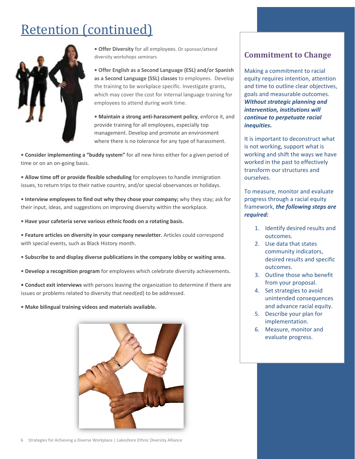# **Retention** (continued)



**• Offer Diversity** for all employees. Or sponsor/attend diversity workshops seminars

**• Offer English as a Second Language (ESL) and/or Spanish as a Second Language (SSL) classes** to employees. Develop the training to be workplace specific. Investigate grants, which may cover the cost for internal language training for employees to attend during work time.

**• Maintain a strong anti‐harassment policy**, enforce it, and provide training for all employees, especially top management. Develop and promote an environment where there is no tolerance for any type of harassment.

**• Consider implementing a "buddy system"** for all new hires either for a given period of time or on an on-going basis.

**• Allow time off or provide flexible scheduling** for employees to handle immigration issues, to return trips to their native country, and/or special observances or holidays.

**• Interview employees to find out why they chose your company;** why they stay; ask for their input, ideas, and suggestions on improving diversity within the workplace.

**• Have your cafeteria serve various ethnic foods on a rotating basis.**

**• Feature articles on diversity in your company newsletter.** Articles could correspond with special events, such as Black History month.

**• Subscribe to and display diverse publications in the company lobby or waiting area.**

**• Develop a recognition program** for employees which celebrate diversity achievements.

**• Conduct exit interviews** with persons leaving the organization to determine if there are issues or problems related to diversity that need(ed) to be addressed.

**• Make bilingual training videos and materials available.**



#### **Commitment to Change**

Making a commitment to racial equity requires intention, attention and time to outline clear objectives, goals and measurable outcomes. *Without strategic planning and intervention, institutions will continue to perpetuate racial inequities***.**

It is important to deconstruct what is not working, support what is working and shift the ways we have worked in the past to effectively transform our structures and ourselves.

To measure, monitor and evaluate progress through a racial equity framework, *the following steps are required:*

- 1. Identify desired results and outcomes.
- 2. Use data that states community indicators, desired results and specific outcomes.
- 3. Outline those who benefit from your proposal.
- 4. Set strategies to avoid unintended consequences and advance racial equity.
- 5. Describe your plan for implementation.
- 6. Measure, monitor and evaluate progress.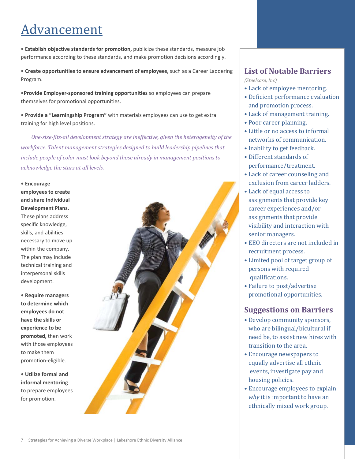## Advancement

**• Establish objective standards for promotion,** publicize these standards, measure job performance according to these standards, and make promotion decisions accordingly.

**• Create opportunities to ensure advancement of employees,** such as a Career Laddering Program.

**•Provide Employer‐sponsored training opportunities** so employees can prepare themselves for promotional opportunities.

**• Provide a "Learningship Program"** with materials employees can use to get extra training for high level positions.

*One‐size‐fits‐all development strategy are ineffective, given the heterogeneity of the workforce. Talent management strategies designed to build leadership pipelines that include people of color must look beyond those already in management positions to acknowledge the stars at all levels.*

**• Encourage employees to create and share Individual Development Plans.** These plans address specific knowledge, skills, and abilities necessary to move up within the company. The plan may include technical training and interpersonal skills development.

**• Require managers to determine which employees do not have the skills or experience to be promoted,** then work with those employees to make them promotion‐eligible.

**• Utilize formal and informal mentoring** to prepare employees for promotion.



#### **List of Notable Barriers**

*(Steelcase, Inc)*

- Lack of employee mentoring.
- Deficient performance evaluation and promotion process.
- Lack of management training.
- Poor career planning.
- Little or no access to informal networks of communication.
- Inability to get feedback.
- Different standards of performance/treatment.
- Lack of career counseling and exclusion from career ladders.
- Lack of equal access to assignments that provide key career experiences and/or assignments that provide visibility and interaction with senior managers.
- EEO directors are not included in recruitment process.
- Limited pool of target group of persons with required qualifications.
- Failure to post/advertise promotional opportunities.

#### **Suggestions on Barriers**

- Develop community sponsors, who are bilingual/bicultural if need be, to assist new hires with transition to the area.
- Encourage newspapers to equally advertise all ethnic events, investigate pay and housing policies.
- Encourage employees to explain *why* it is important to have an ethnically mixed work group.